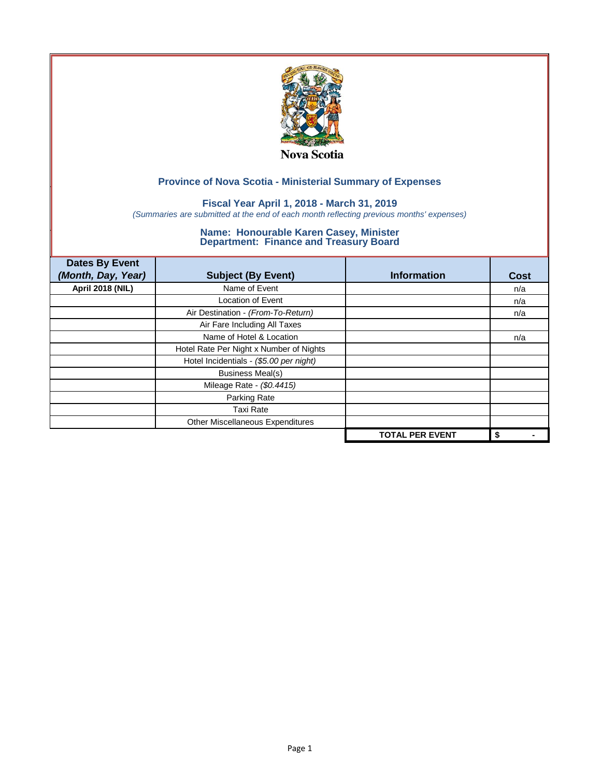

## **Fiscal Year April 1, 2018 - March 31, 2019**

*(Summaries are submitted at the end of each month reflecting previous months' expenses)*

| <b>Dates By Event</b>   |                                         |                        |      |
|-------------------------|-----------------------------------------|------------------------|------|
| (Month, Day, Year)      | <b>Subject (By Event)</b>               | <b>Information</b>     | Cost |
| <b>April 2018 (NIL)</b> | Name of Event                           |                        | n/a  |
|                         | <b>Location of Event</b>                |                        | n/a  |
|                         | Air Destination - (From-To-Return)      |                        | n/a  |
|                         | Air Fare Including All Taxes            |                        |      |
|                         | Name of Hotel & Location                |                        | n/a  |
|                         | Hotel Rate Per Night x Number of Nights |                        |      |
|                         | Hotel Incidentials - (\$5.00 per night) |                        |      |
|                         | <b>Business Meal(s)</b>                 |                        |      |
|                         | Mileage Rate - (\$0.4415)               |                        |      |
|                         | Parking Rate                            |                        |      |
|                         | Taxi Rate                               |                        |      |
|                         | Other Miscellaneous Expenditures        |                        |      |
|                         |                                         | <b>TOTAL PER EVENT</b> | \$   |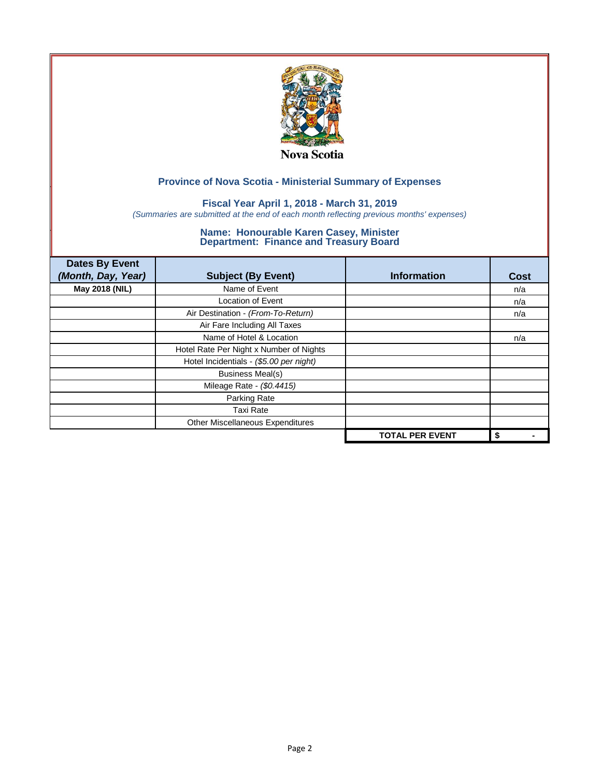

## **Fiscal Year April 1, 2018 - March 31, 2019**

*(Summaries are submitted at the end of each month reflecting previous months' expenses)*

| <b>Dates By Event</b><br>(Month, Day, Year) | <b>Subject (By Event)</b>               | <b>Information</b>     | <b>Cost</b> |
|---------------------------------------------|-----------------------------------------|------------------------|-------------|
| May 2018 (NIL)                              | Name of Event                           |                        | n/a         |
|                                             | <b>Location of Event</b>                |                        | n/a         |
|                                             | Air Destination - (From-To-Return)      |                        | n/a         |
|                                             | Air Fare Including All Taxes            |                        |             |
|                                             | Name of Hotel & Location                |                        | n/a         |
|                                             | Hotel Rate Per Night x Number of Nights |                        |             |
|                                             | Hotel Incidentials - (\$5.00 per night) |                        |             |
|                                             | <b>Business Meal(s)</b>                 |                        |             |
|                                             | Mileage Rate - (\$0.4415)               |                        |             |
|                                             | Parking Rate                            |                        |             |
|                                             | <b>Taxi Rate</b>                        |                        |             |
|                                             | Other Miscellaneous Expenditures        |                        |             |
|                                             |                                         | <b>TOTAL PER EVENT</b> | \$          |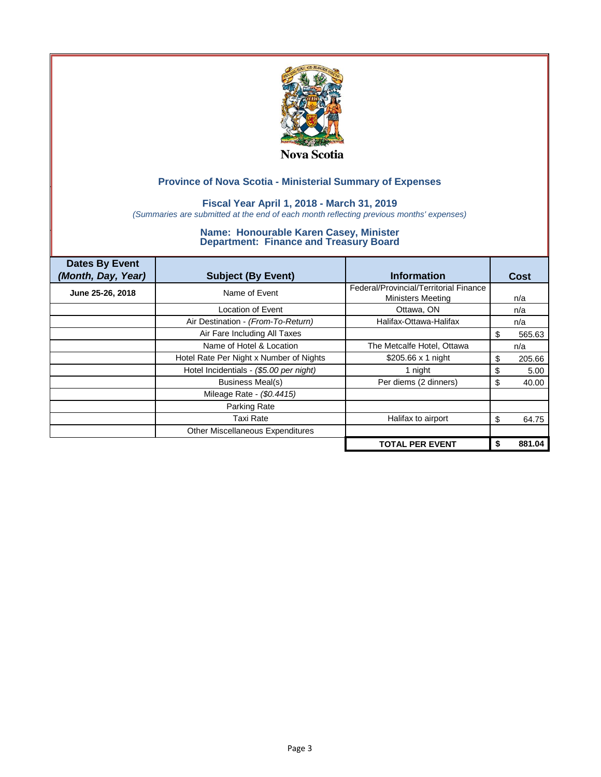

## **Fiscal Year April 1, 2018 - March 31, 2019**

*(Summaries are submitted at the end of each month reflecting previous months' expenses)*

| <b>Dates By Event</b><br>(Month, Day, Year) | <b>Subject (By Event)</b>               | <b>Information</b>                     |    | Cost   |
|---------------------------------------------|-----------------------------------------|----------------------------------------|----|--------|
| June 25-26, 2018                            | Name of Event                           | Federal/Provincial/Territorial Finance |    |        |
|                                             |                                         | <b>Ministers Meeting</b>               |    | n/a    |
|                                             | Location of Event                       | Ottawa, ON                             |    | n/a    |
|                                             | Air Destination - (From-To-Return)      | Halifax-Ottawa-Halifax                 |    | n/a    |
|                                             | Air Fare Including All Taxes            |                                        | S  | 565.63 |
|                                             | Name of Hotel & Location                | The Metcalfe Hotel, Ottawa             |    | n/a    |
|                                             | Hotel Rate Per Night x Number of Nights | \$205.66 x 1 night                     | S  | 205.66 |
|                                             | Hotel Incidentials - (\$5.00 per night) | 1 night                                | \$ | 5.00   |
|                                             | Business Meal(s)                        | Per diems (2 dinners)                  | S  | 40.00  |
|                                             | Mileage Rate - (\$0.4415)               |                                        |    |        |
|                                             | Parking Rate                            |                                        |    |        |
|                                             | <b>Taxi Rate</b>                        | Halifax to airport                     | S  | 64.75  |
|                                             | Other Miscellaneous Expenditures        |                                        |    |        |
|                                             |                                         | <b>TOTAL PER EVENT</b>                 | \$ | 881.04 |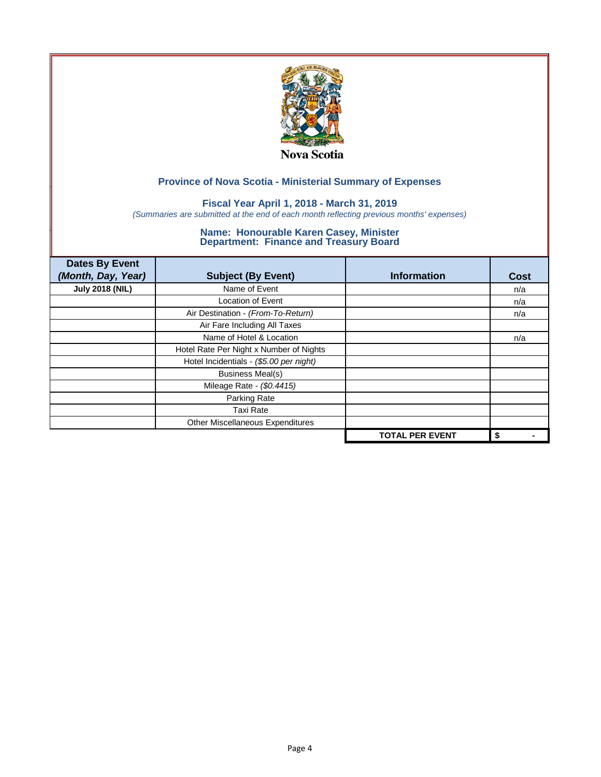

## **Fiscal Year April 1, 2018 - March 31, 2019**

*(Summaries are submitted at the end of each month reflecting previous months' expenses)*

| <b>Dates By Event</b><br>(Month, Day, Year) | <b>Subject (By Event)</b>               | <b>Information</b>     | <b>Cost</b> |
|---------------------------------------------|-----------------------------------------|------------------------|-------------|
| <b>July 2018 (NIL)</b>                      | Name of Event                           |                        | n/a         |
|                                             | <b>Location of Event</b>                |                        | n/a         |
|                                             | Air Destination - (From-To-Return)      |                        | n/a         |
|                                             | Air Fare Including All Taxes            |                        |             |
|                                             | Name of Hotel & Location                |                        | n/a         |
|                                             | Hotel Rate Per Night x Number of Nights |                        |             |
|                                             | Hotel Incidentials - (\$5.00 per night) |                        |             |
|                                             | <b>Business Meal(s)</b>                 |                        |             |
|                                             | Mileage Rate - (\$0.4415)               |                        |             |
|                                             | Parking Rate                            |                        |             |
|                                             | <b>Taxi Rate</b>                        |                        |             |
|                                             | Other Miscellaneous Expenditures        |                        |             |
|                                             |                                         | <b>TOTAL PER EVENT</b> | \$          |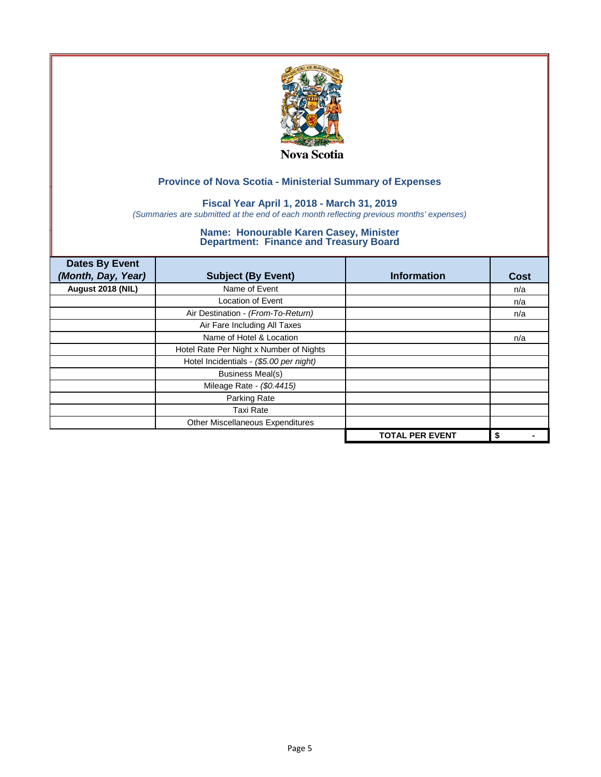

## **Fiscal Year April 1, 2018 - March 31, 2019**

*(Summaries are submitted at the end of each month reflecting previous months' expenses)*

| <b>Dates By Event</b><br>(Month, Day, Year) | <b>Subject (By Event)</b>               | <b>Information</b>     | <b>Cost</b> |
|---------------------------------------------|-----------------------------------------|------------------------|-------------|
| August 2018 (NIL)                           | Name of Event                           |                        | n/a         |
|                                             | <b>Location of Event</b>                |                        | n/a         |
|                                             | Air Destination - (From-To-Return)      |                        | n/a         |
|                                             | Air Fare Including All Taxes            |                        |             |
|                                             | Name of Hotel & Location                |                        | n/a         |
|                                             | Hotel Rate Per Night x Number of Nights |                        |             |
|                                             | Hotel Incidentials - (\$5.00 per night) |                        |             |
|                                             | <b>Business Meal(s)</b>                 |                        |             |
|                                             | Mileage Rate - (\$0.4415)               |                        |             |
|                                             | Parking Rate                            |                        |             |
|                                             | <b>Taxi Rate</b>                        |                        |             |
|                                             | Other Miscellaneous Expenditures        |                        |             |
|                                             |                                         | <b>TOTAL PER EVENT</b> | \$          |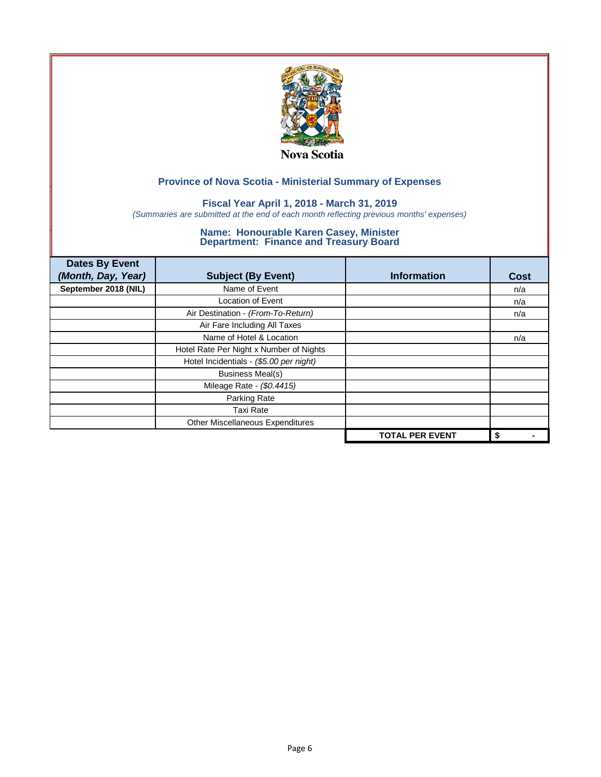

## **Fiscal Year April 1, 2018 - March 31, 2019**

*(Summaries are submitted at the end of each month reflecting previous months' expenses)*

| <b>Dates By Event</b><br>(Month, Day, Year) | <b>Subject (By Event)</b>               | <b>Information</b>     | <b>Cost</b> |
|---------------------------------------------|-----------------------------------------|------------------------|-------------|
| September 2018 (NIL)                        | Name of Event                           |                        | n/a         |
|                                             | <b>Location of Event</b>                |                        | n/a         |
|                                             | Air Destination - (From-To-Return)      |                        | n/a         |
|                                             | Air Fare Including All Taxes            |                        |             |
|                                             | Name of Hotel & Location                |                        | n/a         |
|                                             | Hotel Rate Per Night x Number of Nights |                        |             |
|                                             | Hotel Incidentials - (\$5.00 per night) |                        |             |
|                                             | <b>Business Meal(s)</b>                 |                        |             |
|                                             | Mileage Rate - (\$0.4415)               |                        |             |
|                                             | Parking Rate                            |                        |             |
|                                             | <b>Taxi Rate</b>                        |                        |             |
|                                             | Other Miscellaneous Expenditures        |                        |             |
|                                             |                                         | <b>TOTAL PER EVENT</b> | \$          |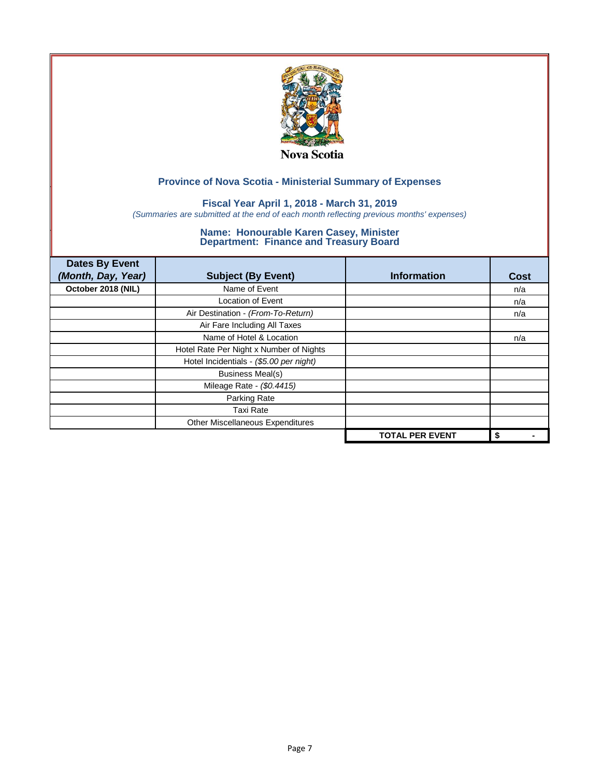

## **Fiscal Year April 1, 2018 - March 31, 2019**

*(Summaries are submitted at the end of each month reflecting previous months' expenses)*

| <b>Dates By Event</b><br>(Month, Day, Year) | <b>Subject (By Event)</b>               | <b>Information</b>     | <b>Cost</b> |
|---------------------------------------------|-----------------------------------------|------------------------|-------------|
| October 2018 (NIL)                          | Name of Event                           |                        | n/a         |
|                                             | <b>Location of Event</b>                |                        | n/a         |
|                                             | Air Destination - (From-To-Return)      |                        | n/a         |
|                                             | Air Fare Including All Taxes            |                        |             |
|                                             | Name of Hotel & Location                |                        | n/a         |
|                                             | Hotel Rate Per Night x Number of Nights |                        |             |
|                                             | Hotel Incidentials - (\$5.00 per night) |                        |             |
|                                             | <b>Business Meal(s)</b>                 |                        |             |
|                                             | Mileage Rate - (\$0.4415)               |                        |             |
|                                             | Parking Rate                            |                        |             |
|                                             | <b>Taxi Rate</b>                        |                        |             |
|                                             | Other Miscellaneous Expenditures        |                        |             |
|                                             |                                         | <b>TOTAL PER EVENT</b> | \$          |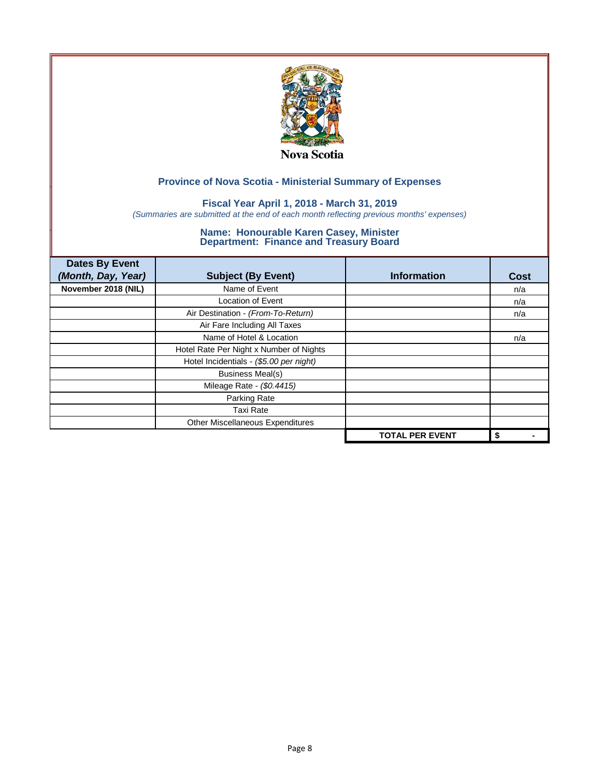

## **Fiscal Year April 1, 2018 - March 31, 2019**

*(Summaries are submitted at the end of each month reflecting previous months' expenses)*

| <b>Dates By Event</b><br>(Month, Day, Year) | <b>Subject (By Event)</b>               | <b>Information</b>     | <b>Cost</b> |
|---------------------------------------------|-----------------------------------------|------------------------|-------------|
| November 2018 (NIL)                         | Name of Event                           |                        | n/a         |
|                                             | <b>Location of Event</b>                |                        | n/a         |
|                                             | Air Destination - (From-To-Return)      |                        | n/a         |
|                                             | Air Fare Including All Taxes            |                        |             |
|                                             | Name of Hotel & Location                |                        | n/a         |
|                                             | Hotel Rate Per Night x Number of Nights |                        |             |
|                                             | Hotel Incidentials - (\$5.00 per night) |                        |             |
|                                             | <b>Business Meal(s)</b>                 |                        |             |
|                                             | Mileage Rate - (\$0.4415)               |                        |             |
|                                             | Parking Rate                            |                        |             |
|                                             | <b>Taxi Rate</b>                        |                        |             |
|                                             | Other Miscellaneous Expenditures        |                        |             |
|                                             |                                         | <b>TOTAL PER EVENT</b> | \$          |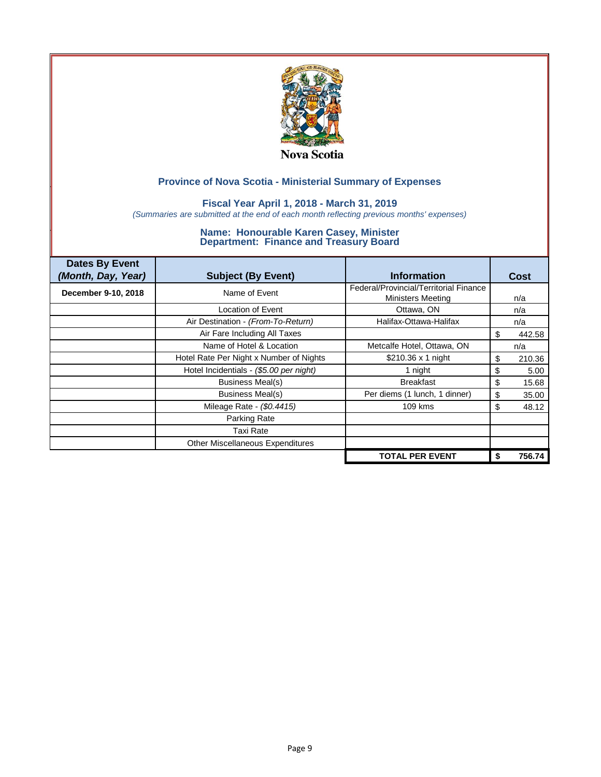

## **Fiscal Year April 1, 2018 - March 31, 2019**

*(Summaries are submitted at the end of each month reflecting previous months' expenses)*

| <b>Dates By Event</b><br>(Month, Day, Year) | <b>Subject (By Event)</b>               | <b>Information</b>                                                 | Cost         |
|---------------------------------------------|-----------------------------------------|--------------------------------------------------------------------|--------------|
| December 9-10, 2018                         | Name of Event                           | Federal/Provincial/Territorial Finance<br><b>Ministers Meeting</b> | n/a          |
|                                             | Location of Event                       | Ottawa, ON                                                         | n/a          |
|                                             | Air Destination - (From-To-Return)      | Halifax-Ottawa-Halifax                                             | n/a          |
|                                             | Air Fare Including All Taxes            |                                                                    | 442.58<br>S  |
|                                             | Name of Hotel & Location                | Metcalfe Hotel, Ottawa, ON                                         | n/a          |
|                                             | Hotel Rate Per Night x Number of Nights | \$210.36 x 1 night                                                 | 210.36<br>\$ |
|                                             | Hotel Incidentials - (\$5.00 per night) | 1 night                                                            | \$<br>5.00   |
|                                             | Business Meal(s)                        | <b>Breakfast</b>                                                   | \$<br>15.68  |
|                                             | <b>Business Meal(s)</b>                 | Per diems (1 lunch, 1 dinner)                                      | \$<br>35.00  |
|                                             | Mileage Rate - (\$0.4415)               | 109 kms                                                            | \$<br>48.12  |
|                                             | Parking Rate                            |                                                                    |              |
|                                             | Taxi Rate                               |                                                                    |              |
|                                             | <b>Other Miscellaneous Expenditures</b> |                                                                    |              |
|                                             |                                         | <b>TOTAL PER EVENT</b>                                             | 756.74       |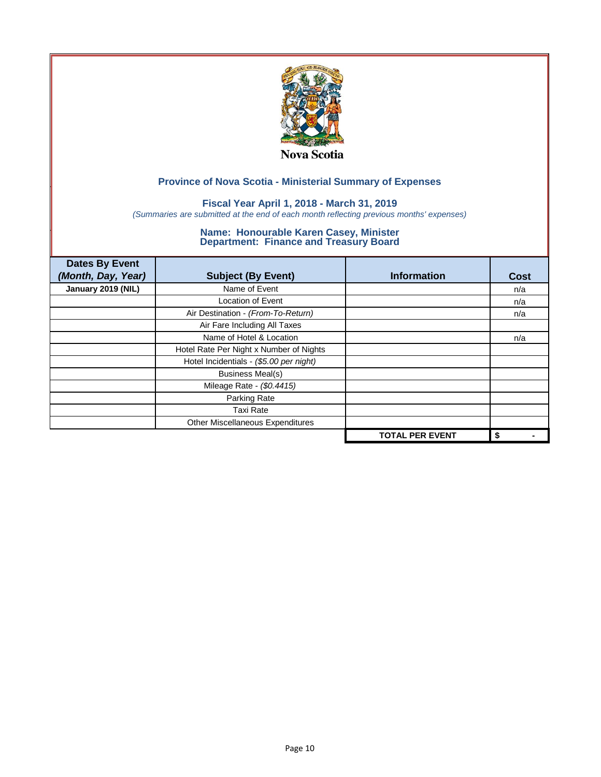

## **Fiscal Year April 1, 2018 - March 31, 2019**

*(Summaries are submitted at the end of each month reflecting previous months' expenses)*

| <b>Dates By Event</b><br>(Month, Day, Year) | <b>Subject (By Event)</b>               | <b>Information</b>     | <b>Cost</b> |
|---------------------------------------------|-----------------------------------------|------------------------|-------------|
| January 2019 (NIL)                          | Name of Event                           |                        | n/a         |
|                                             | <b>Location of Event</b>                |                        | n/a         |
|                                             | Air Destination - (From-To-Return)      |                        | n/a         |
|                                             | Air Fare Including All Taxes            |                        |             |
|                                             | Name of Hotel & Location                |                        | n/a         |
|                                             | Hotel Rate Per Night x Number of Nights |                        |             |
|                                             | Hotel Incidentials - (\$5.00 per night) |                        |             |
|                                             | <b>Business Meal(s)</b>                 |                        |             |
|                                             | Mileage Rate - (\$0.4415)               |                        |             |
|                                             | Parking Rate                            |                        |             |
|                                             | <b>Taxi Rate</b>                        |                        |             |
|                                             | Other Miscellaneous Expenditures        |                        |             |
|                                             |                                         | <b>TOTAL PER EVENT</b> | \$          |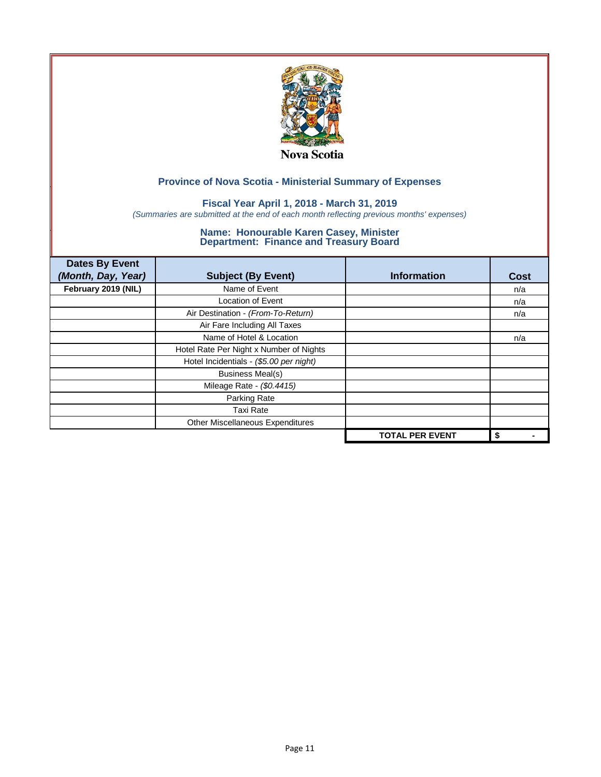

## **Fiscal Year April 1, 2018 - March 31, 2019**

*(Summaries are submitted at the end of each month reflecting previous months' expenses)*

| <b>Dates By Event</b><br>(Month, Day, Year) | <b>Subject (By Event)</b>               | <b>Information</b>     | <b>Cost</b> |
|---------------------------------------------|-----------------------------------------|------------------------|-------------|
| February 2019 (NIL)                         | Name of Event                           |                        | n/a         |
|                                             | <b>Location of Event</b>                |                        | n/a         |
|                                             | Air Destination - (From-To-Return)      |                        | n/a         |
|                                             | Air Fare Including All Taxes            |                        |             |
|                                             | Name of Hotel & Location                |                        | n/a         |
|                                             | Hotel Rate Per Night x Number of Nights |                        |             |
|                                             | Hotel Incidentials - (\$5.00 per night) |                        |             |
|                                             | <b>Business Meal(s)</b>                 |                        |             |
|                                             | Mileage Rate - (\$0.4415)               |                        |             |
|                                             | Parking Rate                            |                        |             |
|                                             | <b>Taxi Rate</b>                        |                        |             |
|                                             | Other Miscellaneous Expenditures        |                        |             |
|                                             |                                         | <b>TOTAL PER EVENT</b> | \$          |